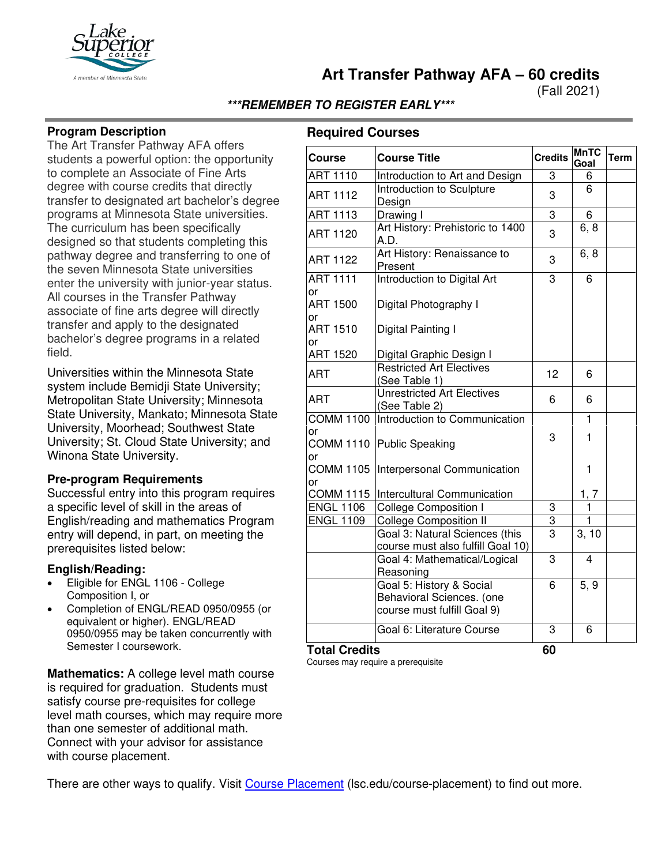

**Art Transfer Pathway AFA – 60 credits**

(Fall 2021)

### **\*\*\*REMEMBER TO REGISTER EARLY\*\*\***

#### **Program Description**

The Art Transfer Pathway AFA offers students a powerful option: the opportunity to complete an Associate of Fine Arts degree with course credits that directly transfer to designated art bachelor's degree programs at Minnesota State universities. The curriculum has been specifically designed so that students completing this pathway degree and transferring to one of the seven Minnesota State universities enter the university with junior-year status. All courses in the Transfer Pathway associate of fine arts degree will directly transfer and apply to the designated bachelor's degree programs in a related field.

Universities within the Minnesota State system include Bemidji State University; Metropolitan State University; Minnesota State University, Mankato; Minnesota State University, Moorhead; Southwest State University; St. Cloud State University; and Winona State University.

#### **Pre-program Requirements**

Successful entry into this program requires a specific level of skill in the areas of English/reading and mathematics Program entry will depend, in part, on meeting the prerequisites listed below:

#### **English/Reading:**

- Eligible for ENGL 1106 College Composition I, or
- Completion of ENGL/READ 0950/0955 (or equivalent or higher). ENGL/READ 0950/0955 may be taken concurrently with Semester I coursework.

**Mathematics:** A college level math course is required for graduation. Students must satisfy course pre-requisites for college level math courses, which may require more than one semester of additional math. Connect with your advisor for assistance with course placement.

## **Required Courses**

| <b>Course</b>          | <b>Course Title</b>                                                                  | <b>Credits</b> | <b>MnTC</b><br>Goal | <b>Term</b> |
|------------------------|--------------------------------------------------------------------------------------|----------------|---------------------|-------------|
| <b>ART 1110</b>        | Introduction to Art and Design                                                       | 3              | 6                   |             |
| <b>ART 1112</b>        | Introduction to Sculpture<br>Design                                                  | 3              | 6                   |             |
| <b>ART 1113</b>        | Drawing I                                                                            | 3              | 6                   |             |
| <b>ART 1120</b>        | Art History: Prehistoric to 1400<br>A.D.                                             | 3              | 6, 8                |             |
| <b>ART 1122</b>        | Art History: Renaissance to<br>Present                                               | 3              | 6, 8                |             |
| <b>ART 1111</b><br>or  | Introduction to Digital Art                                                          | $\overline{3}$ | 6                   |             |
| <b>ART 1500</b><br>or  | Digital Photography I                                                                |                |                     |             |
| <b>ART 1510</b><br>or  | Digital Painting I                                                                   |                |                     |             |
| <b>ART 1520</b>        | Digital Graphic Design I                                                             |                |                     |             |
| <b>ART</b>             | <b>Restricted Art Electives</b><br>(See Table 1)                                     | 12             | 6                   |             |
| <b>ART</b>             | <b>Unrestricted Art Electives</b><br>(See Table 2)                                   | 6              | 6                   |             |
| <b>COMM 1100</b>       | Introduction to Communication                                                        |                | $\mathbf{1}$        |             |
| or<br>or               | COMM 1110 Public Speaking                                                            | 3              | 1                   |             |
| <b>COMM 1105</b><br>or | Interpersonal Communication                                                          |                | 1                   |             |
| <b>COMM 1115</b>       | Intercultural Communication                                                          |                | 1, 7                |             |
| <b>ENGL 1106</b>       | <b>College Composition I</b>                                                         | 3              | $\mathbf{1}$        |             |
| <b>ENGL 1109</b>       | College Composition II                                                               | 3              | 1                   |             |
|                        | Goal 3: Natural Sciences (this<br>course must also fulfill Goal 10)                  | $\overline{3}$ | 3, 10               |             |
|                        | Goal 4: Mathematical/Logical<br>Reasoning                                            | 3              | 4                   |             |
|                        | Goal 5: History & Social<br>Behavioral Sciences. (one<br>course must fulfill Goal 9) | 6              | 5, 9                |             |
|                        | Goal 6: Literature Course                                                            | 3              | 6                   |             |
| Total Credits          |                                                                                      | 60             |                     |             |

Courses may require a prerequisite

There are other ways to qualify. Visit [Course Placement](https://www.lsc.edu/course-placement/) (lsc.edu/course-placement) to find out more.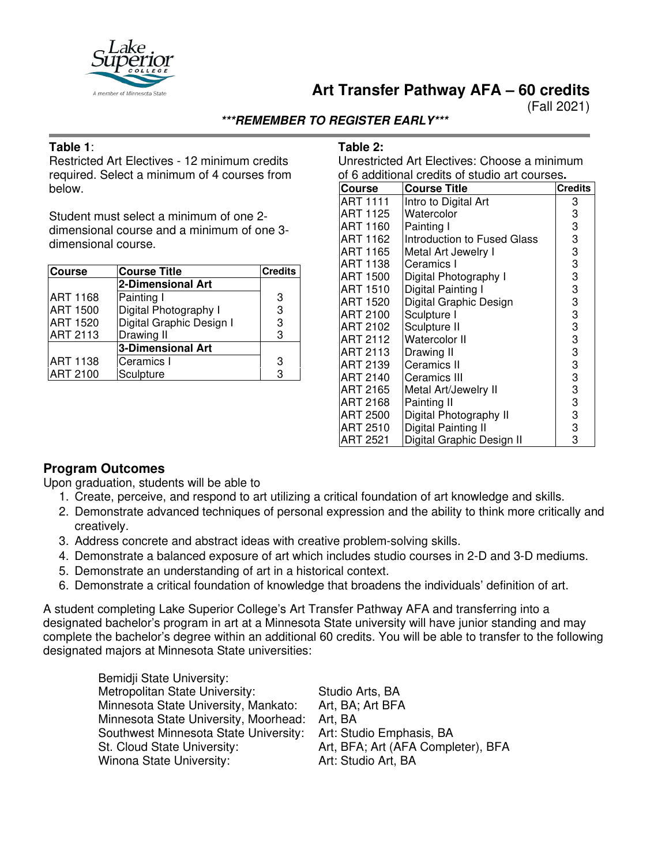

## **Art Transfer Pathway AFA – 60 credits**

(Fall 2021)

### **\*\*\*REMEMBER TO REGISTER EARLY\*\*\***

### **Table 1**:

Restricted Art Electives - 12 minimum credits required. Select a minimum of 4 courses from below.

Student must select a minimum of one 2 dimensional course and a minimum of one 3 dimensional course.

| <b>Course</b>   | <b>Course Title</b>      | <b>Credits</b> |
|-----------------|--------------------------|----------------|
|                 | 2-Dimensional Art        |                |
| <b>ART 1168</b> | Painting I               | 3              |
| <b>ART 1500</b> | Digital Photography I    | 3              |
| <b>ART 1520</b> | Digital Graphic Design I | 3              |
| <b>ART 2113</b> | Drawing II               | 3              |
|                 | <b>3-Dimensional Art</b> |                |
| <b>ART 1138</b> | Ceramics I               | 3              |
| <b>ART 2100</b> | Sculpture                | 3              |

### **Table 2:**

Unrestricted Art Electives: Choose a minimum of 6 additional credits of studio art courses**.**

| <b>Course</b>   | <b>Course Title</b>         | <b>Credits</b> |
|-----------------|-----------------------------|----------------|
| ART 1111        | Intro to Digital Art        | 3              |
| ART 1125        | Watercolor                  | 3              |
| <b>ART 1160</b> | Painting I                  | 3              |
| ART 1162        | Introduction to Fused Glass | 3              |
| <b>ART 1165</b> | Metal Art Jewelry I         | 3              |
| ART 1138        | Ceramics I                  | 3              |
| ART 1500        | Digital Photography I       | 3              |
| ART 1510        | Digital Painting I          | 3              |
| <b>ART 1520</b> | Digital Graphic Design      | 3              |
| ART 2100        | Sculpture I                 | 3              |
| ART 2102        | Sculpture II                | 3              |
| ART 2112        | <b>Watercolor II</b>        | 3              |
| ART 2113        | Drawing II                  | 3              |
| ART 2139        | Ceramics II                 | 3              |
| ART 2140        | Ceramics III                | 3              |
| ART 2165        | Metal Art/Jewelry II        | 3              |
| ART 2168        | Painting II                 | 3              |
| ART 2500        | Digital Photography II      | 3              |
| ART 2510        | Digital Painting II         | 3              |
| <b>ART 2521</b> | Digital Graphic Design II   | 3              |

## **Program Outcomes**

Upon graduation, students will be able to

- 1. Create, perceive, and respond to art utilizing a critical foundation of art knowledge and skills.
- 2. Demonstrate advanced techniques of personal expression and the ability to think more critically and creatively.
- 3. Address concrete and abstract ideas with creative problem-solving skills.
- 4. Demonstrate a balanced exposure of art which includes studio courses in 2-D and 3-D mediums.
- 5. Demonstrate an understanding of art in a historical context.
- 6. Demonstrate a critical foundation of knowledge that broadens the individuals' definition of art.

A student completing Lake Superior College's Art Transfer Pathway AFA and transferring into a designated bachelor's program in art at a Minnesota State university will have junior standing and may complete the bachelor's degree within an additional 60 credits. You will be able to transfer to the following designated majors at Minnesota State universities:

| Studio Arts, BA                    |
|------------------------------------|
| Art, BA; Art BFA                   |
| Art, BA                            |
| Art: Studio Emphasis, BA           |
| Art, BFA; Art (AFA Completer), BFA |
| Art: Studio Art, BA                |
|                                    |